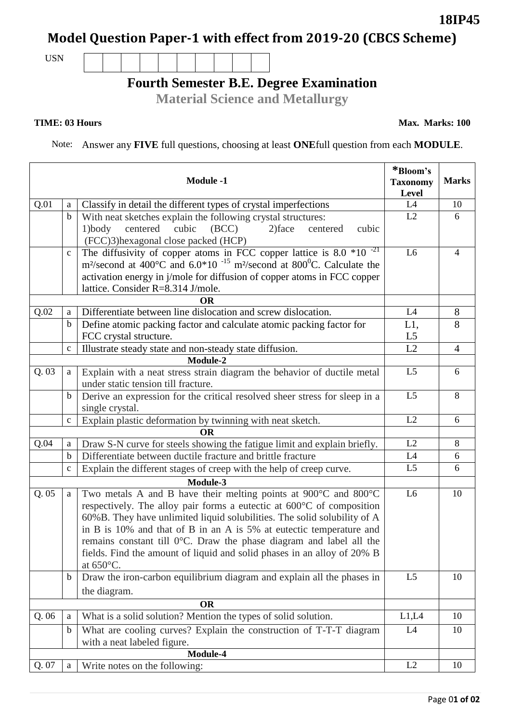## **Model Question Paper-1 with effect from 2019-20 (CBCS Scheme)**

USN

## **Fourth Semester B.E. Degree Examination**

**Material Science and Metallurgy**

Note: Answer any **FIVE** full questions, choosing at least **ONE**full question from each **MODULE**.

| <b>Module -1</b> |              |                                                                                                                                                   | *Bloom's<br><b>Taxonomy</b><br>Level | <b>Marks</b>   |
|------------------|--------------|---------------------------------------------------------------------------------------------------------------------------------------------------|--------------------------------------|----------------|
| Q.01             | a            | Classify in detail the different types of crystal imperfections                                                                                   | L4                                   | 10             |
|                  | $\mathbf b$  | With neat sketches explain the following crystal structures:                                                                                      | L2                                   | 6              |
|                  |              | $1)$ body<br>centered cubic<br>(BCC)<br>$2)$ face<br>cubic<br>centered<br>(FCC)3) hexagonal close packed (HCP)                                    |                                      |                |
|                  | $\mathbf c$  | The diffusivity of copper atoms in FCC copper lattice is $8.0 * 10^{-21}$                                                                         | L <sub>6</sub>                       | $\overline{4}$ |
|                  |              | m <sup>2</sup> /second at 400°C and 6.0*10 <sup>-15</sup> m <sup>2</sup> /second at 800°C. Calculate the                                          |                                      |                |
|                  |              | activation energy in j/mole for diffusion of copper atoms in FCC copper                                                                           |                                      |                |
|                  |              | lattice. Consider R=8.314 J/mole.                                                                                                                 |                                      |                |
| ОR               |              |                                                                                                                                                   | L4                                   |                |
| Q.02             | a            | Differentiate between line dislocation and screw dislocation.                                                                                     |                                      | 8<br>8         |
|                  | $\mathbf b$  | Define atomic packing factor and calculate atomic packing factor for<br>FCC crystal structure.                                                    | L1,<br>L <sub>5</sub>                |                |
|                  | $\mathbf{C}$ | Illustrate steady state and non-steady state diffusion.                                                                                           | L2                                   | $\overline{4}$ |
| Module-2         |              |                                                                                                                                                   |                                      |                |
| Q.03             | a            | Explain with a neat stress strain diagram the behavior of ductile metal                                                                           | L <sub>5</sub>                       | 6              |
|                  |              | under static tension till fracture.                                                                                                               |                                      |                |
|                  | $\mathbf b$  | Derive an expression for the critical resolved sheer stress for sleep in a                                                                        | L <sub>5</sub>                       | 8              |
|                  |              | single crystal.                                                                                                                                   |                                      |                |
|                  | $\mathbf{C}$ | Explain plastic deformation by twinning with neat sketch.                                                                                         | L2                                   | 6              |
| <b>OR</b>        |              |                                                                                                                                                   |                                      |                |
| Q.04             | a            | Draw S-N curve for steels showing the fatigue limit and explain briefly.                                                                          | L2<br>L4                             | 8              |
|                  | $\mathbf b$  | Differentiate between ductile fracture and brittle fracture                                                                                       | L <sub>5</sub>                       | 6<br>6         |
|                  | $\mathbf{C}$ | Explain the different stages of creep with the help of creep curve.                                                                               |                                      |                |
|                  |              | Module-3                                                                                                                                          | L <sub>6</sub>                       |                |
| Q.05             | a            | Two metals A and B have their melting points at $900^{\circ}$ C and $800^{\circ}$ C                                                               |                                      | 10             |
|                  |              | respectively. The alloy pair forms a eutectic at 600°C of composition<br>60%B. They have unlimited liquid solubilities. The solid solubility of A |                                      |                |
|                  |              | in B is 10% and that of B in an A is 5% at eutectic temperature and                                                                               |                                      |                |
|                  |              | remains constant till 0°C. Draw the phase diagram and label all the                                                                               |                                      |                |
|                  |              | fields. Find the amount of liquid and solid phases in an alloy of 20% B                                                                           |                                      |                |
|                  |              | at $650^{\circ}$ C.                                                                                                                               |                                      |                |
|                  | $\mathbf b$  | Draw the iron-carbon equilibrium diagram and explain all the phases in                                                                            | L <sub>5</sub>                       | 10             |
|                  |              | the diagram.                                                                                                                                      |                                      |                |
| <b>OR</b>        |              |                                                                                                                                                   |                                      |                |
| Q.06             | a            | What is a solid solution? Mention the types of solid solution.                                                                                    | L1,L4                                | 10             |
|                  | $\mathbf b$  | What are cooling curves? Explain the construction of T-T-T diagram                                                                                | L4                                   | 10             |
|                  |              | with a neat labeled figure.                                                                                                                       |                                      |                |
|                  |              | Module-4                                                                                                                                          |                                      |                |
| Q. 07            | a            | Write notes on the following:                                                                                                                     | L2                                   | 10             |

**18IP45**

**TIME: 03 Hours** Max. Marks: 100